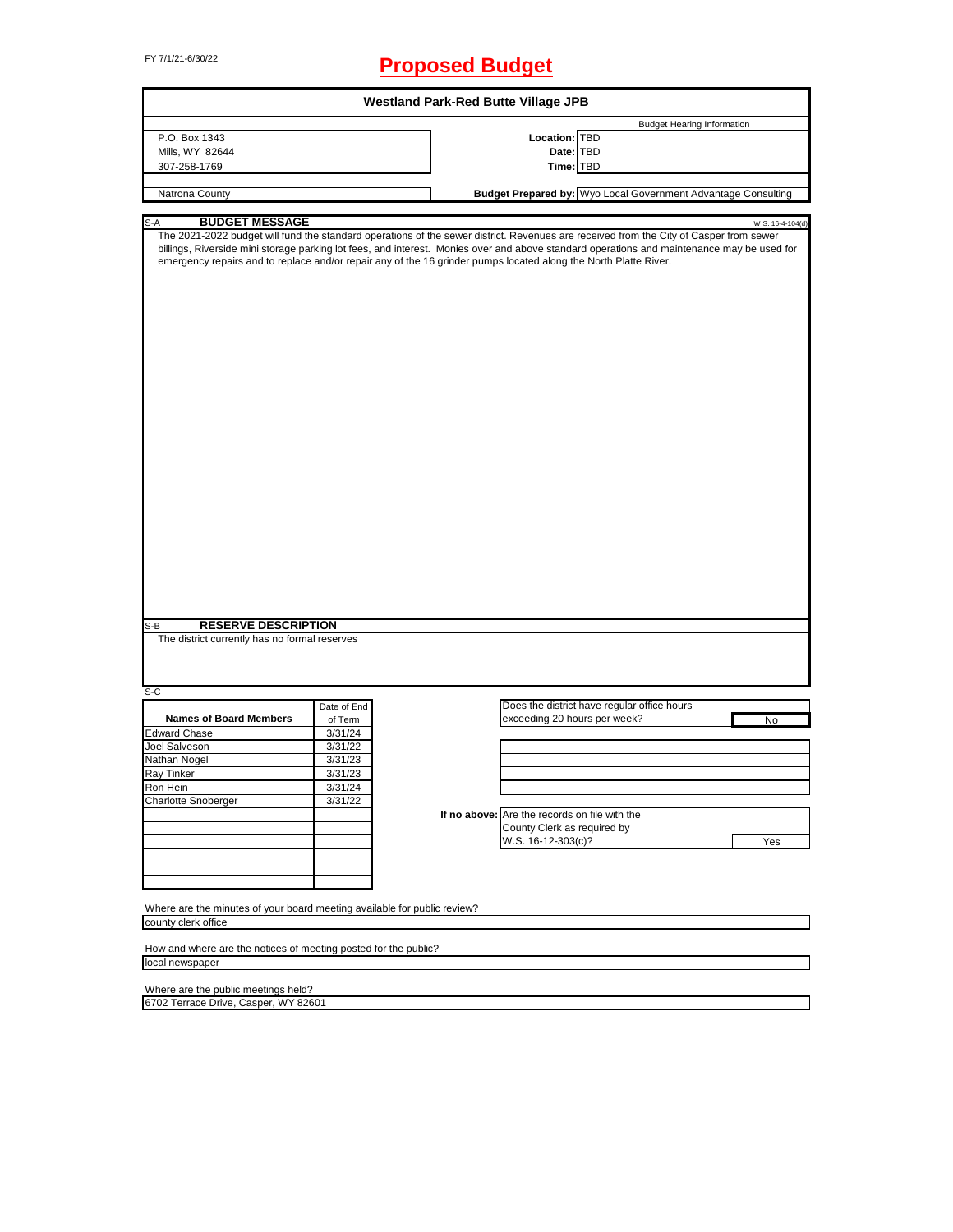# FY 7/1/21-6/30/22 **Proposed Budget**

| <b>Westland Park-Red Butte Village JPB</b>                               |             |                                                                                                                                                                                                                                                                                                                                                                                                                              |  |  |  |  |
|--------------------------------------------------------------------------|-------------|------------------------------------------------------------------------------------------------------------------------------------------------------------------------------------------------------------------------------------------------------------------------------------------------------------------------------------------------------------------------------------------------------------------------------|--|--|--|--|
| P.O. Box 1343                                                            |             | <b>Budget Hearing Information</b><br><b>Location: TBD</b>                                                                                                                                                                                                                                                                                                                                                                    |  |  |  |  |
| Mills, WY 82644                                                          |             | Date: TBD                                                                                                                                                                                                                                                                                                                                                                                                                    |  |  |  |  |
| 307-258-1769                                                             |             | Time: TBD                                                                                                                                                                                                                                                                                                                                                                                                                    |  |  |  |  |
|                                                                          |             |                                                                                                                                                                                                                                                                                                                                                                                                                              |  |  |  |  |
| Natrona County                                                           |             | Budget Prepared by: Wyo Local Government Advantage Consulting                                                                                                                                                                                                                                                                                                                                                                |  |  |  |  |
|                                                                          |             |                                                                                                                                                                                                                                                                                                                                                                                                                              |  |  |  |  |
| <b>BUDGET MESSAGE</b><br>S-A                                             |             | W.S. 16-4-104(d)<br>The 2021-2022 budget will fund the standard operations of the sewer district. Revenues are received from the City of Casper from sewer<br>billings, Riverside mini storage parking lot fees, and interest. Monies over and above standard operations and maintenance may be used for<br>emergency repairs and to replace and/or repair any of the 16 grinder pumps located along the North Platte River. |  |  |  |  |
| <b>RESERVE DESCRIPTION</b><br>$S-B$                                      |             |                                                                                                                                                                                                                                                                                                                                                                                                                              |  |  |  |  |
| The district currently has no formal reserves                            |             |                                                                                                                                                                                                                                                                                                                                                                                                                              |  |  |  |  |
| $S-C$                                                                    |             |                                                                                                                                                                                                                                                                                                                                                                                                                              |  |  |  |  |
|                                                                          | Date of End | Does the district have regular office hours                                                                                                                                                                                                                                                                                                                                                                                  |  |  |  |  |
| <b>Names of Board Members</b>                                            | of Term     | exceeding 20 hours per week?<br>No                                                                                                                                                                                                                                                                                                                                                                                           |  |  |  |  |
| <b>Edward Chase</b>                                                      | 3/31/24     |                                                                                                                                                                                                                                                                                                                                                                                                                              |  |  |  |  |
| Joel Salveson                                                            | 3/31/22     |                                                                                                                                                                                                                                                                                                                                                                                                                              |  |  |  |  |
| Nathan Nogel                                                             | 3/31/23     |                                                                                                                                                                                                                                                                                                                                                                                                                              |  |  |  |  |
| Ray Tinker                                                               | 3/31/23     |                                                                                                                                                                                                                                                                                                                                                                                                                              |  |  |  |  |
| Ron Hein                                                                 | 3/31/24     |                                                                                                                                                                                                                                                                                                                                                                                                                              |  |  |  |  |
| <b>Charlotte Snoberger</b>                                               | 3/31/22     |                                                                                                                                                                                                                                                                                                                                                                                                                              |  |  |  |  |
|                                                                          |             | If no above: Are the records on file with the                                                                                                                                                                                                                                                                                                                                                                                |  |  |  |  |
|                                                                          |             | County Clerk as required by                                                                                                                                                                                                                                                                                                                                                                                                  |  |  |  |  |
|                                                                          |             | W.S. 16-12-303(c)?<br>Yes                                                                                                                                                                                                                                                                                                                                                                                                    |  |  |  |  |
|                                                                          |             |                                                                                                                                                                                                                                                                                                                                                                                                                              |  |  |  |  |
|                                                                          |             |                                                                                                                                                                                                                                                                                                                                                                                                                              |  |  |  |  |
| Where are the minutes of your board meeting available for public review? |             |                                                                                                                                                                                                                                                                                                                                                                                                                              |  |  |  |  |
| county clerk office                                                      |             |                                                                                                                                                                                                                                                                                                                                                                                                                              |  |  |  |  |
|                                                                          |             |                                                                                                                                                                                                                                                                                                                                                                                                                              |  |  |  |  |
| How and where are the notices of meeting posted for the public?          |             |                                                                                                                                                                                                                                                                                                                                                                                                                              |  |  |  |  |
| local newspaper                                                          |             |                                                                                                                                                                                                                                                                                                                                                                                                                              |  |  |  |  |
|                                                                          |             |                                                                                                                                                                                                                                                                                                                                                                                                                              |  |  |  |  |
| Where are the public meetings held?                                      |             |                                                                                                                                                                                                                                                                                                                                                                                                                              |  |  |  |  |
| 6702 Terrace Drive, Casper, WY 82601                                     |             |                                                                                                                                                                                                                                                                                                                                                                                                                              |  |  |  |  |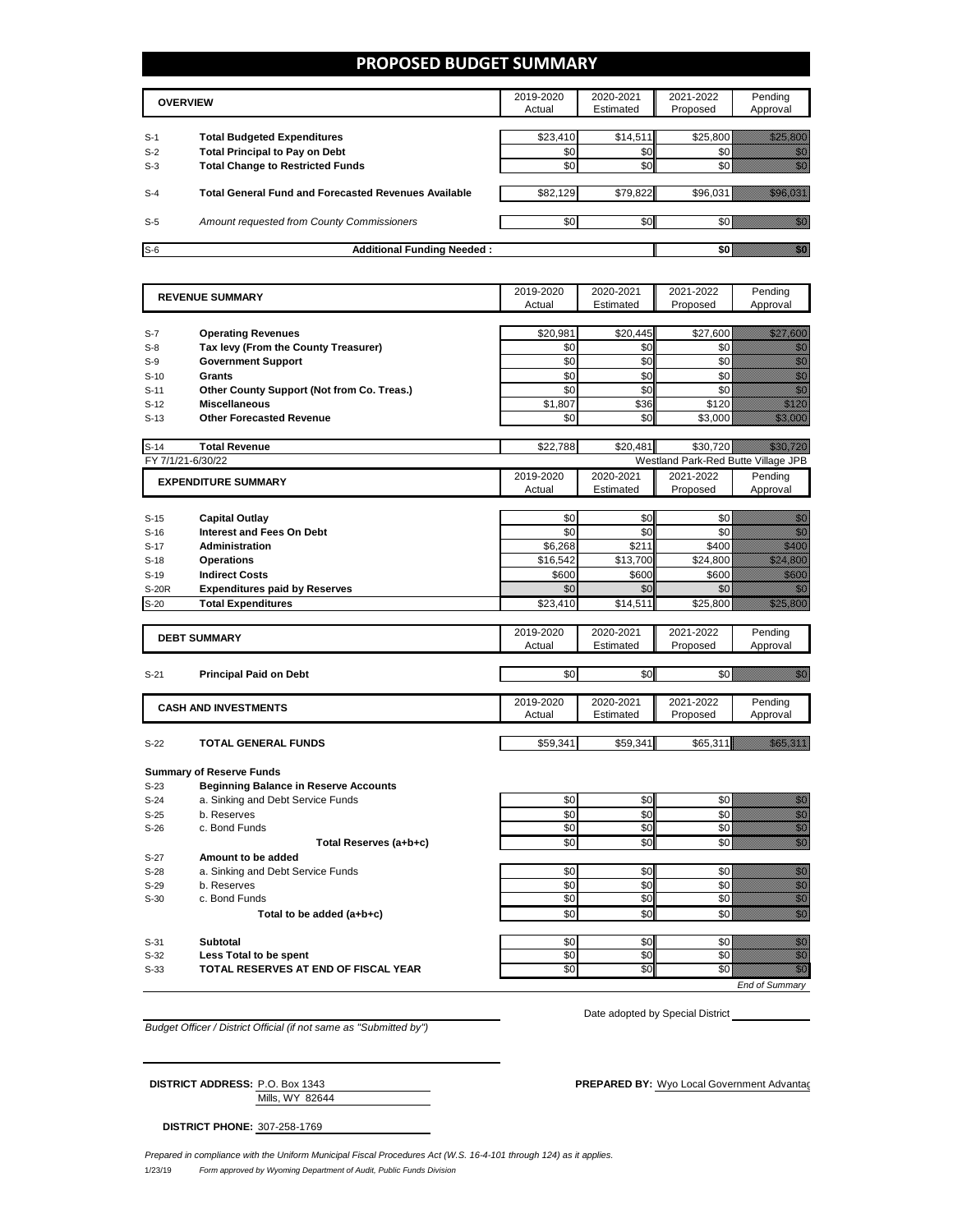## **PROPOSED BUDGET SUMMARY**

|       | <b>OVERVIEW</b>                                             | 2019-2020<br>Actual | 2020-2021<br>Estimated | 2021-2022<br>Proposed | Pending<br>Approval |
|-------|-------------------------------------------------------------|---------------------|------------------------|-----------------------|---------------------|
| $S-1$ | <b>Total Budgeted Expenditures</b>                          | \$23,410            | \$14,511               | \$25,800              |                     |
| $S-2$ | <b>Total Principal to Pay on Debt</b>                       | \$0                 | \$0                    |                       |                     |
| $S-3$ | <b>Total Change to Restricted Funds</b>                     | \$0                 | \$0                    |                       |                     |
|       |                                                             |                     |                        |                       |                     |
| $S-4$ | <b>Total General Fund and Forecasted Revenues Available</b> | \$82,129            | \$79,822               | \$96,031              |                     |
| $S-5$ | Amount requested from County Commissioners                  | \$0                 | \$0                    |                       |                     |
| $S-6$ | <b>Additional Funding Needed:</b>                           |                     |                        |                       |                     |

| <b>REVENUE SUMMARY</b> |                                              | 2019-2020  | 2020-2021  | 2021-2022                           | Pending                                                                                                                                                                                                                          |
|------------------------|----------------------------------------------|------------|------------|-------------------------------------|----------------------------------------------------------------------------------------------------------------------------------------------------------------------------------------------------------------------------------|
|                        |                                              | Actual     | Estimated  | Proposed                            | Approval                                                                                                                                                                                                                         |
|                        |                                              |            |            |                                     |                                                                                                                                                                                                                                  |
| $S-7$                  | <b>Operating Revenues</b>                    | \$20,981   | \$20,445   | \$27,600                            | a katalunggal dan katalunggal dan katalunggal dan katalunggal dan katalunggal dan katalunggal dan katalunggal<br>Katalunggal dan katalunggal dan katalunggal dan katalunggal dan katalunggal dan katalunggal dan katalunggal da  |
| $S-8$                  | Tax levy (From the County Treasurer)         | \$0        | \$0        | \$0                                 | enne<br>Gildh                                                                                                                                                                                                                    |
| $S-9$                  | <b>Government Support</b>                    | \$0        | \$0        | \$0                                 | en de la familie de la familie de la familie de la familie de la familie de la familie de la familie de la fam<br>Constitution de la familie de la familie de la familie de la familie de la familie de la familie de la familie |
| $S-10$                 | <b>Grants</b>                                | \$0        | \$0        | \$0                                 | en de la familie de la familie de la familie de la familie de la familie de la familie de la familie de la fam<br>Communes                                                                                                       |
| $S-11$                 | Other County Support (Not from Co. Treas.)   | \$0        | \$0        | \$0                                 | en de la familie de la familie de la familie de la familie de la familie de la familie de la familie de la fam<br>Constitution de la familie de la familie de la familie de la familie de la familie de la familie de la familie |
| $S-12$                 | <b>Miscellaneous</b>                         | \$1,807    | \$36       | \$120                               | en en de former de la forma de la forma de la forma de la forma de la forma de la forma de la forma de la form<br>En la forma de la forma de la forma de la forma de la forma de la forma de la forma de la forma de la forma de |
| $S-13$                 | <b>Other Forecasted Revenue</b>              | \$0        | \$0        | \$3,000                             | <u> Million Sta</u>                                                                                                                                                                                                              |
|                        |                                              |            |            |                                     |                                                                                                                                                                                                                                  |
| $S-14$                 | <b>Total Revenue</b>                         | \$22,788   | \$20.481   | \$30.720                            | <u>ilikoitti k</u>                                                                                                                                                                                                               |
|                        | FY 7/1/21-6/30/22                            |            |            | Westland Park-Red Butte Village JPB |                                                                                                                                                                                                                                  |
|                        | <b>EXPENDITURE SUMMARY</b>                   | 2019-2020  | 2020-2021  | 2021-2022                           | Pending                                                                                                                                                                                                                          |
|                        |                                              | Actual     | Estimated  | Proposed                            | Approval                                                                                                                                                                                                                         |
|                        |                                              |            |            |                                     |                                                                                                                                                                                                                                  |
| $S-15$                 | <b>Capital Outlay</b>                        | \$0        | \$0        | \$0                                 | en de la forma de la forma de la forma de la forma de la forma de la forma de la forma de la forma de la forma<br>De la forma de la forma de la forma de la forma de la forma de la forma de la forma de la forma de la forma de |
| $S-16$                 | <b>Interest and Fees On Debt</b>             | \$0        | \$0        | \$0                                 | en de la familie de la familie de la familie de la familie de la familie de la familie de la familie de la fam<br>Constituit de la familie de la familie de la familie de la familie de la familie de la familie de la familie d |
| $S-17$                 | <b>Administration</b>                        | \$6,268    | \$211      | \$400                               | <u>Mariti Sa</u>                                                                                                                                                                                                                 |
| $S-18$                 | <b>Operations</b>                            | \$16,542   | \$13,700   | \$24,800                            | <u>till here o</u>                                                                                                                                                                                                               |
| $S-19$                 | <b>Indirect Costs</b>                        | \$600      | \$600      | \$600                               | <u>tik k</u>                                                                                                                                                                                                                     |
| <b>S-20R</b>           | <b>Expenditures paid by Reserves</b>         | \$0        | \$0        | \$0                                 | en de la familie de la familie de la familie de la familie de la familie de la familie de la familie de la fam<br>De la familie de la familie de la familie de la familie de la familie de la familie de la familie de la famili |
| $S-20$                 | <b>Total Expenditures</b>                    | \$23,410   | \$14,511   | \$25,800                            | <u> Hittististööt</u>                                                                                                                                                                                                            |
|                        |                                              |            |            |                                     |                                                                                                                                                                                                                                  |
|                        | <b>DEBT SUMMARY</b>                          | 2019-2020  | 2020-2021  | 2021-2022                           | Pending                                                                                                                                                                                                                          |
|                        |                                              | Actual     | Estimated  | Proposed                            | Approval                                                                                                                                                                                                                         |
|                        |                                              |            |            |                                     |                                                                                                                                                                                                                                  |
| $S-21$                 | <b>Principal Paid on Debt</b>                | \$0        | \$0        | \$0                                 | e de la concellativa de la concellativa de la concellativa de la concellativa de la concellativa de la concell<br>Concellativa de la concellativa de la concellativa de la concellativa de la concellativa de la concellativa de |
|                        |                                              |            |            |                                     |                                                                                                                                                                                                                                  |
|                        | <b>CASH AND INVESTMENTS</b>                  | 2019-2020  | 2020-2021  | 2021-2022                           | Pending                                                                                                                                                                                                                          |
|                        |                                              | Actual     | Estimated  | Proposed                            | Approval                                                                                                                                                                                                                         |
|                        | <b>TOTAL GENERAL FUNDS</b>                   | \$59,341   | \$59,341   |                                     | <u> Hillian Sa</u>                                                                                                                                                                                                               |
| $S-22$                 |                                              |            |            | \$65,311                            |                                                                                                                                                                                                                                  |
|                        | <b>Summary of Reserve Funds</b>              |            |            |                                     |                                                                                                                                                                                                                                  |
| $S-23$                 | <b>Beginning Balance in Reserve Accounts</b> |            |            |                                     |                                                                                                                                                                                                                                  |
| $S-24$                 |                                              | \$0        | \$0        | \$0                                 |                                                                                                                                                                                                                                  |
|                        | a. Sinking and Debt Service Funds            |            |            |                                     | en de la familie de la familie de la familie de la familie de la familie de la familie de la familie de la fa<br>Constitution de la familie de la familie de la familie de la familie de la familie de la familie de la familie  |
| $S-25$                 | b. Reserves<br>c. Bond Funds                 | \$0<br>\$0 | \$0<br>\$0 | \$0<br>\$0                          | e de la composición de la composición de la composición de la composición de la composición de la composición<br>Campo de la composición de la composición de la composición de la composición de la composición de la composic  |
| $S-26$                 |                                              |            |            |                                     | en de la filòlogía<br>California                                                                                                                                                                                                 |
|                        | Total Reserves (a+b+c)                       | \$0        | \$0        | \$0                                 |                                                                                                                                                                                                                                  |
| $S-27$                 | Amount to be added                           |            |            |                                     |                                                                                                                                                                                                                                  |
| $S-28$                 | a. Sinking and Debt Service Funds            | \$0        | \$0        | \$0                                 | en de filosofon de filosofon de filosofon de filosofon de filosofon de filosofon de filosofon de filosofon de<br>Filosofon de filosofon de filosofon de filosofon de filosofon de filosofon de filosofon de filosofon de filoso  |
| $S-29$                 | b. Reserves                                  | \$0        | \$0        | \$0                                 | en de la familie de la familie de la familie de la familie de la familie de la familie de la familie de la fam<br>Constitution de la familie de la familie de la familie de la familie de la familie de la familie de la familie |
| $S-30$                 | c. Bond Funds                                | \$0        | \$0        | \$0                                 | enne<br>Stadt                                                                                                                                                                                                                    |
|                        | Total to be added (a+b+c)                    | \$0        | \$0        | \$0                                 | en de la filo<br>Galia                                                                                                                                                                                                           |
|                        |                                              |            |            |                                     |                                                                                                                                                                                                                                  |
| $S-31$                 | <b>Subtotal</b>                              | \$0        | \$0        | \$0                                 | e de la construcción de la construcción de la construcción de la construcción de la construcción de la construcción<br>Construcción                                                                                              |
| $S-32$                 | Less Total to be spent                       | \$0        | \$0        | \$0                                 |                                                                                                                                                                                                                                  |
| $S-33$                 | TOTAL RESERVES AT END OF FISCAL YEAR         | \$0        | \$0        | \$0                                 | en de la forma de la forma de la forma de la forma de la forma de la forma de la forma de la forma de la forma<br>Constituir de la forma de la forma de la forma de la forma de la forma de la forma de la forma de la forma de  |
|                        |                                              |            |            |                                     | End of Summary                                                                                                                                                                                                                   |

*Budget Officer / District Official (if not same as "Submitted by")*

Date adopted by Special District

| <b>DISTRICT ADDRESS: P.O. Box 1343</b> | <b>PREPARED BY:</b> Wyo Local Government Advantac |
|----------------------------------------|---------------------------------------------------|
| Mills, WY 82644                        |                                                   |

**DISTRICT PHONE:** 307-258-1769

1/23/19 *Form approved by Wyoming Department of Audit, Public Funds Division Prepared in compliance with the Uniform Municipal Fiscal Procedures Act (W.S. 16-4-101 through 124) as it applies.*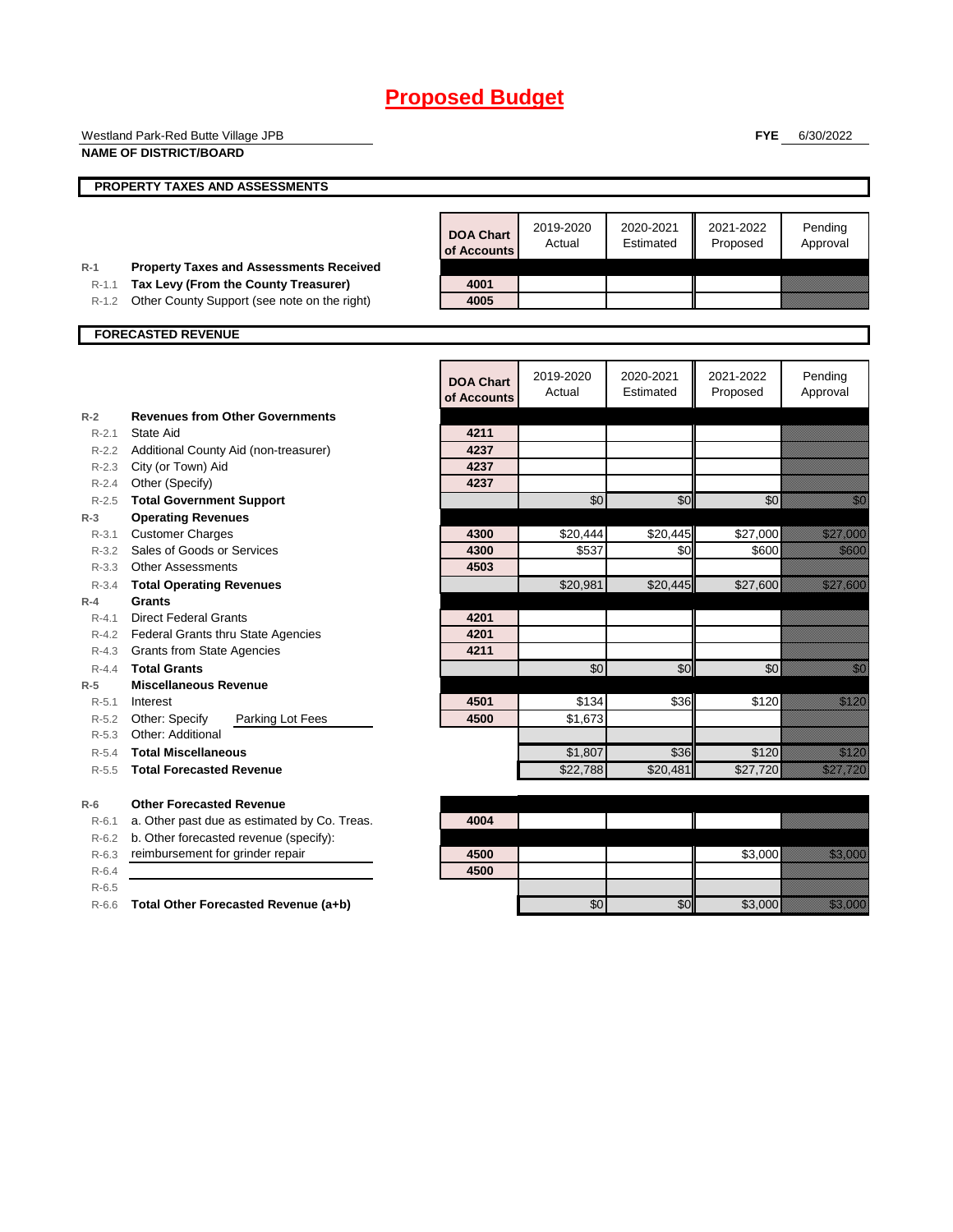|                    | Westland Park-Red Butte Village JPB                          |                  |                     |                        | <b>FYE</b> | 6/30/2022                                                                                                                                                                                                                        |
|--------------------|--------------------------------------------------------------|------------------|---------------------|------------------------|------------|----------------------------------------------------------------------------------------------------------------------------------------------------------------------------------------------------------------------------------|
|                    | <b>NAME OF DISTRICT/BOARD</b>                                |                  |                     |                        |            |                                                                                                                                                                                                                                  |
|                    |                                                              |                  |                     |                        |            |                                                                                                                                                                                                                                  |
|                    | PROPERTY TAXES AND ASSESSMENTS                               |                  |                     |                        |            |                                                                                                                                                                                                                                  |
|                    |                                                              |                  |                     |                        |            |                                                                                                                                                                                                                                  |
|                    |                                                              | <b>DOA Chart</b> | 2019-2020<br>Actual | 2020-2021<br>Estimated | 2021-2022  | Pending                                                                                                                                                                                                                          |
|                    |                                                              | of Accounts      |                     |                        | Proposed   | Approval                                                                                                                                                                                                                         |
| $R-1$              | <b>Property Taxes and Assessments Received</b>               |                  |                     |                        |            |                                                                                                                                                                                                                                  |
| $R-1.1$            | Tax Levy (From the County Treasurer)                         | 4001             |                     |                        |            |                                                                                                                                                                                                                                  |
| R-1.2              | Other County Support (see note on the right)                 | 4005             |                     |                        |            |                                                                                                                                                                                                                                  |
|                    | <b>FORECASTED REVENUE</b>                                    |                  |                     |                        |            |                                                                                                                                                                                                                                  |
|                    |                                                              |                  |                     |                        |            |                                                                                                                                                                                                                                  |
|                    |                                                              |                  |                     | 2020-2021              | 2021-2022  |                                                                                                                                                                                                                                  |
|                    |                                                              | <b>DOA Chart</b> | 2019-2020<br>Actual | Estimated              | Proposed   | Pending<br>Approval                                                                                                                                                                                                              |
|                    |                                                              | of Accounts      |                     |                        |            |                                                                                                                                                                                                                                  |
| $R-2$              | <b>Revenues from Other Governments</b>                       |                  |                     |                        |            |                                                                                                                                                                                                                                  |
| $R - 2.1$          | State Aid                                                    | 4211             |                     |                        |            |                                                                                                                                                                                                                                  |
|                    | R-2.2 Additional County Aid (non-treasurer)                  | 4237<br>4237     |                     |                        |            |                                                                                                                                                                                                                                  |
| $R - 2.3$<br>R-2.4 | City (or Town) Aid<br>Other (Specify)                        | 4237             |                     |                        |            |                                                                                                                                                                                                                                  |
| $R - 2.5$          |                                                              |                  | \$0                 | \$0                    | \$0        | en de la familie de la familie de la familie de la familie de la familie de la familie de la familie de la fam<br>De la familie de la familie de la familie de la familie de la familie de la familie de la familie de la famili |
| $R-3$              | <b>Total Government Support</b><br><b>Operating Revenues</b> |                  |                     |                        |            |                                                                                                                                                                                                                                  |
| $R - 3.1$          | <b>Customer Charges</b>                                      | 4300             | \$20,444            | \$20,445               | \$27,000   | <u> Killingara</u>                                                                                                                                                                                                               |
| $R - 3.2$          | Sales of Goods or Services                                   | 4300             | \$537               | \$0                    | \$600      | <u>i ka</u>                                                                                                                                                                                                                      |
| $R - 3.3$          | <b>Other Assessments</b>                                     | 4503             |                     |                        |            |                                                                                                                                                                                                                                  |
| $R - 3.4$          | <b>Total Operating Revenues</b>                              |                  | \$20,981            | \$20,445               | \$27,600   | a katalunggal sa katalunggal sa katalunggal sa katalunggal sa katalunggal sa katalunggal sa katalunggal sa kat                                                                                                                   |
| $R-4$              | <b>Grants</b>                                                |                  |                     |                        |            |                                                                                                                                                                                                                                  |
| $R - 4.1$          | <b>Direct Federal Grants</b>                                 | 4201             |                     |                        |            |                                                                                                                                                                                                                                  |
| R-4.2              | Federal Grants thru State Agencies                           | 4201             |                     |                        |            |                                                                                                                                                                                                                                  |
| $R - 4.3$          | Grants from State Agencies                                   | 4211             |                     |                        |            |                                                                                                                                                                                                                                  |
| $R - 4.4$          | <b>Total Grants</b>                                          |                  | \$0                 | \$0                    | \$0        | e de la concellativa de la concellativa de la concellativa de la concellativa de la concellativa de la concell<br>Concellativa de la concellativa de la concellativa de la concellativa de la concellativa de la concellativa de |
| $R-5$              | <b>Miscellaneous Revenue</b>                                 |                  |                     |                        |            |                                                                                                                                                                                                                                  |
| $R - 5.1$          | Interest                                                     | 4501             | \$134               | \$36                   | \$120      | <u>ti ka</u>                                                                                                                                                                                                                     |
| R-5.2              | Other: Specify<br>Parking Lot Fees                           | 4500             | \$1,673             |                        |            |                                                                                                                                                                                                                                  |
| $R - 5.3$          | Other: Additional                                            |                  |                     |                        |            |                                                                                                                                                                                                                                  |
| $R-5.4$            | <b>Total Miscellaneous</b>                                   |                  | \$1,807             | \$36                   | \$120      | <u>Mariti Sa</u>                                                                                                                                                                                                                 |
| $R-5.5$            | <b>Total Forecasted Revenue</b>                              |                  | \$22,788            | \$20,481               | \$27,720   | a kalendari da ya kusaka mwaka wa 1979.<br>Matukio                                                                                                                                                                               |
| $R-6$              | <b>Other Forecasted Revenue</b>                              |                  |                     |                        |            |                                                                                                                                                                                                                                  |
| R-6.1              | a. Other past due as estimated by Co. Treas.                 | 4004             |                     |                        |            |                                                                                                                                                                                                                                  |
| R-6.2              | b. Other forecasted revenue (specify):                       |                  |                     |                        |            |                                                                                                                                                                                                                                  |
| R-6.3              | reimbursement for grinder repair                             | 4500             |                     |                        | \$3,000    | <u>tion and</u>                                                                                                                                                                                                                  |
| $R - 6.4$          |                                                              | 4500             |                     |                        |            |                                                                                                                                                                                                                                  |
| $R-6.5$            |                                                              |                  |                     |                        |            |                                                                                                                                                                                                                                  |
|                    | R-6.6 Total Other Forecasted Revenue (a+b)                   |                  | \$0                 | \$0                    | \$3,000    | <u> Hillian San B</u>                                                                                                                                                                                                            |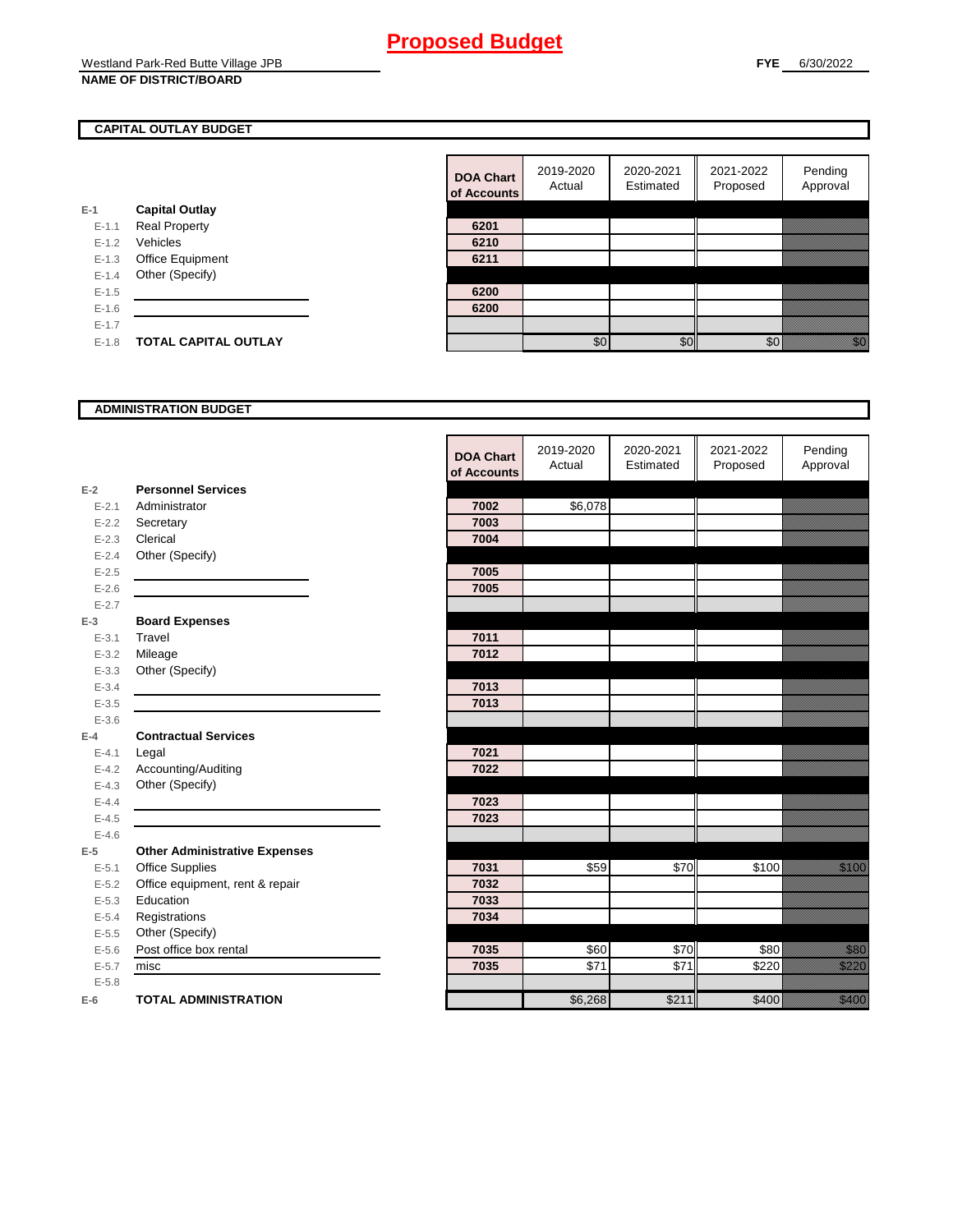## **CAPITAL OUTLAY BUDGET**

|           |                             | <u>ui nuuu</u> |
|-----------|-----------------------------|----------------|
| E-1       | <b>Capital Outlay</b>       |                |
| $E - 1.1$ | <b>Real Property</b>        | 6201           |
| $E - 1.2$ | Vehicles                    | 6210           |
| $E-1.3$   | Office Equipment            | 6211           |
| $E - 1.4$ | Other (Specify)             |                |
| $E - 1.5$ |                             | 6200           |
| $E-1.6$   |                             | 6200           |
| $E-1.7$   |                             |                |
| $E - 1.8$ | <b>TOTAL CAPITAL OUTLAY</b> |                |
|           |                             |                |

| <b>DOA Chart</b><br>of Accounts | 2019-2020<br>Actual | 2020-2021<br>Estimated | 2021-2022<br>Proposed | Pending<br>Approval |
|---------------------------------|---------------------|------------------------|-----------------------|---------------------|
|                                 |                     |                        |                       |                     |
| 6201                            |                     |                        |                       |                     |
| 6210                            |                     |                        |                       |                     |
| 6211                            |                     |                        |                       |                     |
|                                 |                     |                        |                       |                     |
| 6200                            |                     |                        |                       |                     |
| 6200                            |                     |                        |                       |                     |
|                                 |                     |                        |                       |                     |
|                                 | \$0                 |                        |                       |                     |

#### **ADMINISTRATION BUDGET**

|           |                                      | <b>DOA Chart</b><br>of Accounts | 2019-2020<br>Actual | 2020-2021<br>Estimated | 2021-2022<br>Proposed | Pending<br>Approval                                                                                                                                                                                                              |
|-----------|--------------------------------------|---------------------------------|---------------------|------------------------|-----------------------|----------------------------------------------------------------------------------------------------------------------------------------------------------------------------------------------------------------------------------|
| $E-2$     | <b>Personnel Services</b>            |                                 |                     |                        |                       |                                                                                                                                                                                                                                  |
| $E - 2.1$ | Administrator                        | 7002                            | \$6,078             |                        |                       |                                                                                                                                                                                                                                  |
| $E - 2.2$ | Secretary                            | 7003                            |                     |                        |                       |                                                                                                                                                                                                                                  |
| $E - 2.3$ | Clerical                             | 7004                            |                     |                        |                       |                                                                                                                                                                                                                                  |
| $E - 2.4$ | Other (Specify)                      |                                 |                     |                        |                       |                                                                                                                                                                                                                                  |
| $E - 2.5$ |                                      | 7005                            |                     |                        |                       |                                                                                                                                                                                                                                  |
| $E - 2.6$ |                                      | 7005                            |                     |                        |                       |                                                                                                                                                                                                                                  |
| $E - 2.7$ |                                      |                                 |                     |                        |                       |                                                                                                                                                                                                                                  |
| $E-3$     | <b>Board Expenses</b>                |                                 |                     |                        |                       |                                                                                                                                                                                                                                  |
| $E - 3.1$ | Travel                               | 7011                            |                     |                        |                       |                                                                                                                                                                                                                                  |
| $E - 3.2$ | Mileage                              | 7012                            |                     |                        |                       |                                                                                                                                                                                                                                  |
| $E - 3.3$ | Other (Specify)                      |                                 |                     |                        |                       |                                                                                                                                                                                                                                  |
| $E - 3.4$ |                                      | 7013                            |                     |                        |                       |                                                                                                                                                                                                                                  |
| $E - 3.5$ |                                      | 7013                            |                     |                        |                       |                                                                                                                                                                                                                                  |
| $E - 3.6$ |                                      |                                 |                     |                        |                       |                                                                                                                                                                                                                                  |
| $E-4$     | <b>Contractual Services</b>          |                                 |                     |                        |                       |                                                                                                                                                                                                                                  |
| $E - 4.1$ | Legal                                | 7021                            |                     |                        |                       |                                                                                                                                                                                                                                  |
| $E - 4.2$ | Accounting/Auditing                  | 7022                            |                     |                        |                       |                                                                                                                                                                                                                                  |
| $E - 4.3$ | Other (Specify)                      |                                 |                     |                        |                       |                                                                                                                                                                                                                                  |
| $E - 4.4$ |                                      | 7023                            |                     |                        |                       |                                                                                                                                                                                                                                  |
| $E - 4.5$ |                                      | 7023                            |                     |                        |                       |                                                                                                                                                                                                                                  |
| $E-4.6$   |                                      |                                 |                     |                        |                       |                                                                                                                                                                                                                                  |
| $E-5$     | <b>Other Administrative Expenses</b> |                                 |                     |                        |                       |                                                                                                                                                                                                                                  |
| $E - 5.1$ | <b>Office Supplies</b>               | 7031                            | \$59                | \$70                   | \$100                 | a katika katika katika katika katika katika katika katika katika katika katika katika katika katika katika kat<br>Katika katika katika katika katika katika katika katika katika katika katika katika katika katika katika katik |
| $E - 5.2$ | Office equipment, rent & repair      | 7032                            |                     |                        |                       |                                                                                                                                                                                                                                  |
| $E - 5.3$ | Education                            | 7033                            |                     |                        |                       |                                                                                                                                                                                                                                  |
| $E - 5.4$ | Registrations                        | 7034                            |                     |                        |                       |                                                                                                                                                                                                                                  |
| $E - 5.5$ | Other (Specify)                      |                                 |                     |                        |                       |                                                                                                                                                                                                                                  |
| $E - 5.6$ | Post office box rental               | 7035                            | \$60                | \$70                   | \$80                  | <u>ti alla</u>                                                                                                                                                                                                                   |
| $E - 5.7$ | misc                                 | 7035                            | \$71                | \$71                   | \$220                 | <u>tillitik</u>                                                                                                                                                                                                                  |
| $E - 5.8$ |                                      |                                 |                     |                        |                       |                                                                                                                                                                                                                                  |
| $E-6$     | <b>TOTAL ADMINISTRATION</b>          |                                 | \$6,268             | \$211                  | \$400                 | <u>ti k</u>                                                                                                                                                                                                                      |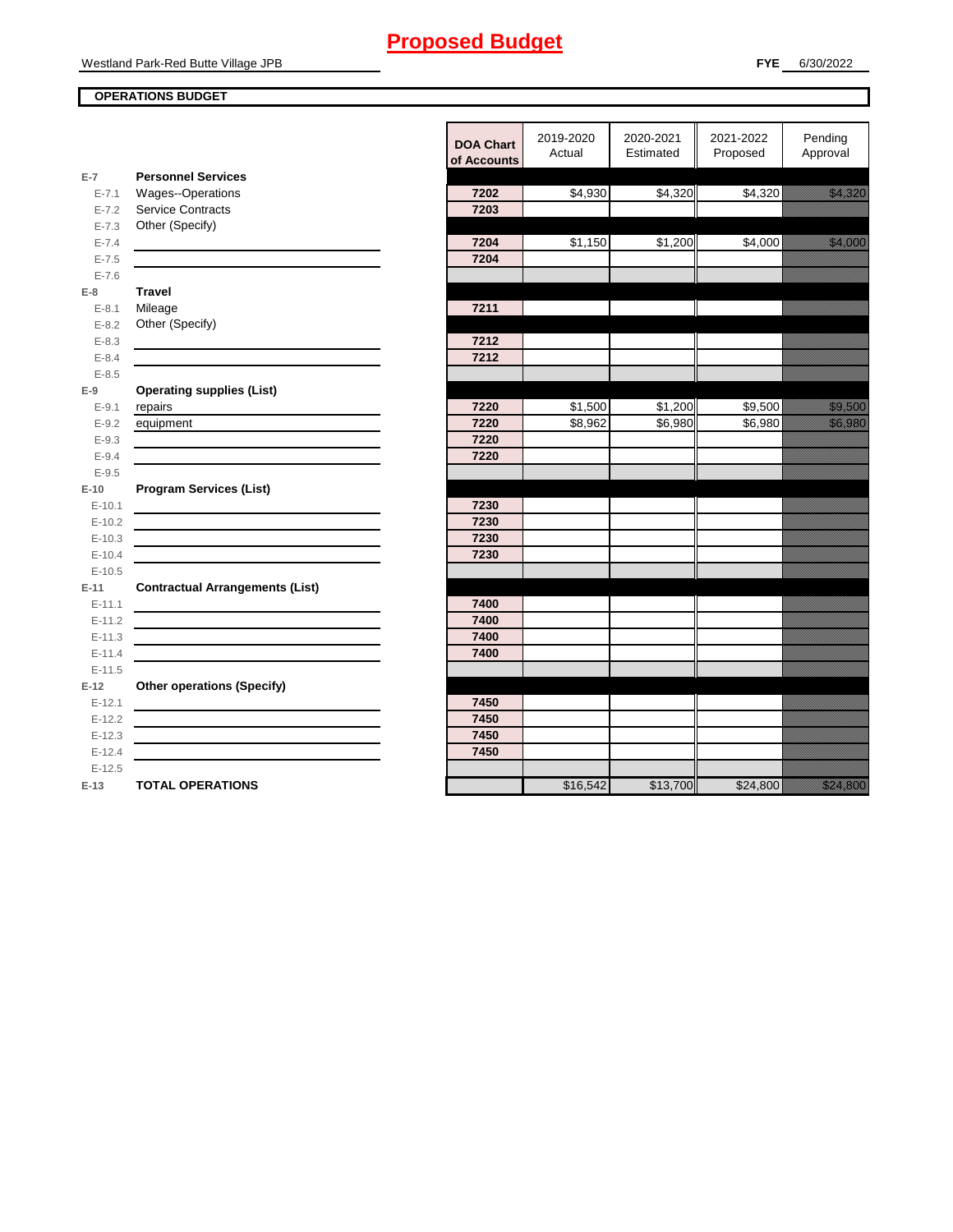## **OPERATIONS BUDGET**

**E-7**

**E-8 Travel**

**E-9**

**E-10**

**E-11 Contractual Arrangements (List)** 

**E-12 Other operations (Specify)** 

|                    |                                                                                           | <b>DOA Chart</b><br>of Accounts | 2019-2020<br>Actual | 2020-2021<br>Estimated | 2021-2022<br>Proposed | Pending<br>Approval                                                                                                    |
|--------------------|-------------------------------------------------------------------------------------------|---------------------------------|---------------------|------------------------|-----------------------|------------------------------------------------------------------------------------------------------------------------|
| $E-7$              | <b>Personnel Services</b>                                                                 |                                 |                     |                        |                       |                                                                                                                        |
| $E - 7.1$          | Wages--Operations                                                                         | 7202                            | \$4,930             | \$4,320                | \$4,320               | <u>i karatanan di kacamatan di sebagai pada salah dari dalam kacamatan dalam dalam dalam dalam dalam dalam dalam </u>  |
| $E - 7.2$          | <b>Service Contracts</b>                                                                  | 7203                            |                     |                        |                       |                                                                                                                        |
| $E - 7.3$          | Other (Specify)                                                                           |                                 |                     |                        |                       |                                                                                                                        |
| $E - 7.4$          |                                                                                           | 7204                            | \$1,150             | \$1,200                | \$4,000               | <u>tion and the community of the community of the community of the community of the community of the community of </u> |
| $E - 7.5$          |                                                                                           | 7204                            |                     |                        |                       |                                                                                                                        |
| $E - 7.6$          | <b>Travel</b>                                                                             |                                 |                     |                        |                       |                                                                                                                        |
| $E-8$<br>$E - 8.1$ | Mileage                                                                                   | 7211                            |                     |                        |                       |                                                                                                                        |
| $E - 8.2$          | Other (Specify)                                                                           |                                 |                     |                        |                       |                                                                                                                        |
| $E - 8.3$          |                                                                                           | 7212                            |                     |                        |                       |                                                                                                                        |
| $E - 8.4$          |                                                                                           | 7212                            |                     |                        |                       |                                                                                                                        |
| $E - 8.5$          |                                                                                           |                                 |                     |                        |                       |                                                                                                                        |
| E-9                | <b>Operating supplies (List)</b>                                                          |                                 |                     |                        |                       |                                                                                                                        |
| $E - 9.1$          | repairs                                                                                   | 7220                            | \$1,500             | \$1,200                | \$9,500               | <u>tion and</u>                                                                                                        |
| $E - 9.2$          | equipment                                                                                 | 7220                            | \$8,962             | \$6,980                | \$6,980               | <u>i ka</u>                                                                                                            |
| $E - 9.3$          |                                                                                           | 7220                            |                     |                        |                       |                                                                                                                        |
| $E - 9.4$          |                                                                                           | 7220                            |                     |                        |                       |                                                                                                                        |
| $E-9.5$            |                                                                                           |                                 |                     |                        |                       |                                                                                                                        |
| $E-10$             | <b>Program Services (List)</b>                                                            |                                 |                     |                        |                       |                                                                                                                        |
| $E-10.1$           |                                                                                           | 7230                            |                     |                        |                       |                                                                                                                        |
| $E-10.2$           |                                                                                           | 7230                            |                     |                        |                       |                                                                                                                        |
| $E-10.3$           |                                                                                           | 7230                            |                     |                        |                       |                                                                                                                        |
| $E-10.4$           |                                                                                           | 7230                            |                     |                        |                       |                                                                                                                        |
| $E-10.5$           |                                                                                           |                                 |                     |                        |                       |                                                                                                                        |
| E-11<br>$E-11.1$   | <b>Contractual Arrangements (List)</b>                                                    | 7400                            |                     |                        |                       |                                                                                                                        |
| $E-11.2$           |                                                                                           | 7400                            |                     |                        |                       |                                                                                                                        |
| $E - 11.3$         | <u> 1989 - Johann Barn, amerikansk politiker (d. 1989)</u>                                | 7400                            |                     |                        |                       |                                                                                                                        |
| $E-11.4$           | the control of the control of the control of the control of the control of the control of | 7400                            |                     |                        |                       |                                                                                                                        |
| $E-11.5$           |                                                                                           |                                 |                     |                        |                       |                                                                                                                        |
| $E-12$             | <b>Other operations (Specify)</b>                                                         |                                 |                     |                        |                       |                                                                                                                        |
| $E-12.1$           |                                                                                           | 7450                            |                     |                        |                       |                                                                                                                        |
| $E-12.2$           |                                                                                           | 7450                            |                     |                        |                       |                                                                                                                        |
| $E-12.3$           |                                                                                           | 7450                            |                     |                        |                       |                                                                                                                        |
| $E-12.4$           |                                                                                           | 7450                            |                     |                        |                       |                                                                                                                        |
| $E-12.5$           |                                                                                           |                                 |                     |                        |                       |                                                                                                                        |
| E-13               | <b>TOTAL OPERATIONS</b>                                                                   |                                 | \$16,542            | \$13,700               | \$24,800              | <u>in dhe që përfshën e përfshën e përfshën e përfshën e përfshën e përfshën e përfshën e përfshën e përfshën e p</u>  |
|                    |                                                                                           |                                 |                     |                        |                       |                                                                                                                        |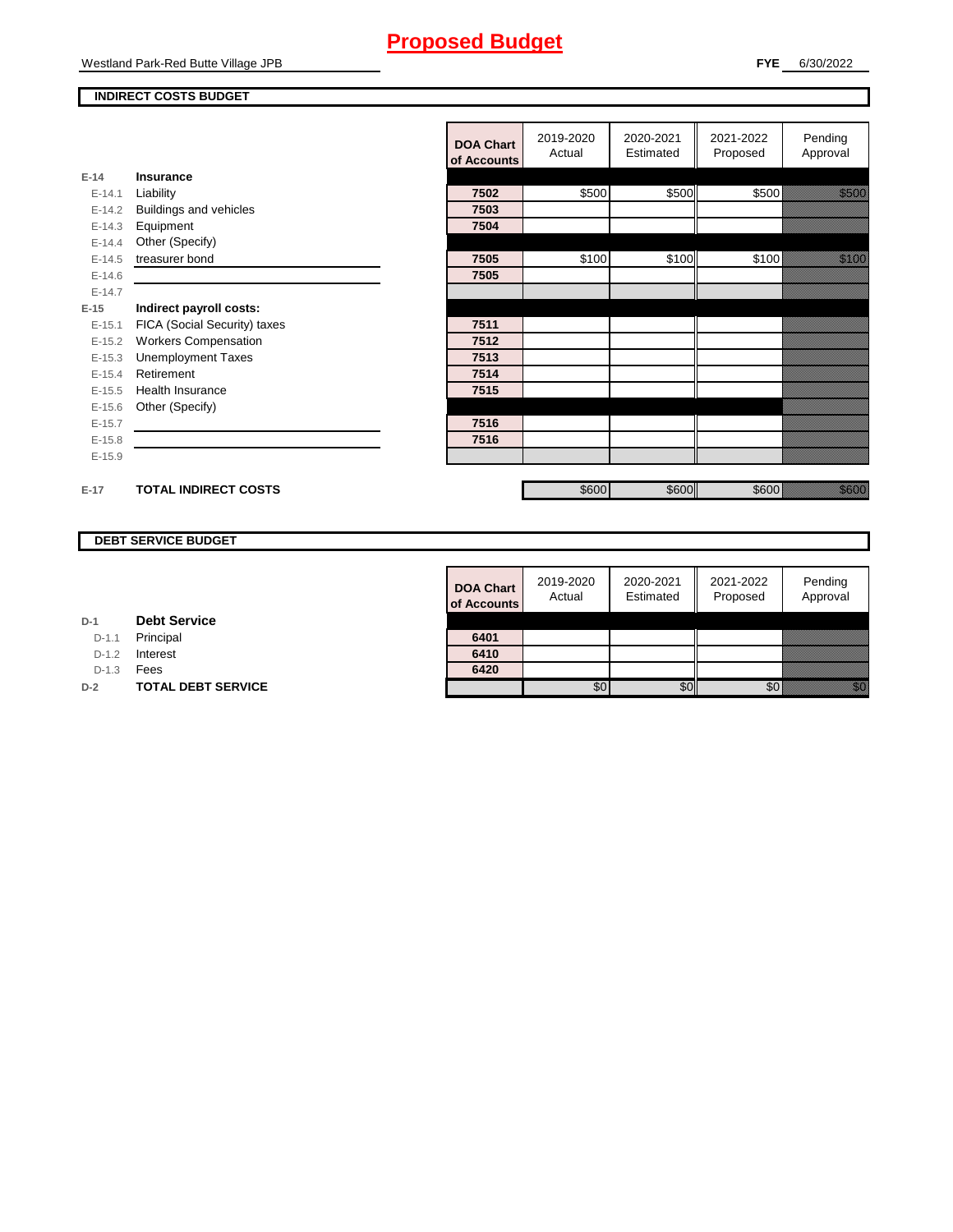#### **INDIRECT COSTS BUDGET**

|          |                              | <b>DOA Chart</b><br>of Accounts | 2019-2020<br>Actual | 2020-2021<br>Estimated | 2021-2022<br>Proposed | Pending<br>Approval |
|----------|------------------------------|---------------------------------|---------------------|------------------------|-----------------------|---------------------|
| $E-14$   | <b>Insurance</b>             |                                 |                     |                        |                       |                     |
| $E-14.1$ | Liability                    | 7502                            | \$500               | \$500                  | \$500                 | <u>tionalist</u>    |
| $E-14.2$ | Buildings and vehicles       | 7503                            |                     |                        |                       |                     |
| $E-14.3$ | Equipment                    | 7504                            |                     |                        |                       |                     |
| $E-14.4$ | Other (Specify)              |                                 |                     |                        |                       |                     |
| $E-14.5$ | treasurer bond               | 7505                            | \$100               | \$100                  | \$100                 | <u>ti ka</u>        |
| $E-14.6$ |                              | 7505                            |                     |                        |                       |                     |
| $E-14.7$ |                              |                                 |                     |                        |                       |                     |
| $E-15$   | Indirect payroll costs:      |                                 |                     |                        |                       |                     |
| $E-15.1$ | FICA (Social Security) taxes | 7511                            |                     |                        |                       |                     |
| $E-15.2$ | <b>Workers Compensation</b>  | 7512                            |                     |                        |                       |                     |
| $E-15.3$ | <b>Unemployment Taxes</b>    | 7513                            |                     |                        |                       |                     |
| $E-15.4$ | Retirement                   | 7514                            |                     |                        |                       |                     |
| $E-15.5$ | Health Insurance             | 7515                            |                     |                        |                       |                     |
| $E-15.6$ | Other (Specify)              |                                 |                     |                        |                       |                     |
| $E-15.7$ |                              | 7516                            |                     |                        |                       |                     |
| $E-15.8$ |                              | 7516                            |                     |                        |                       |                     |
| $E-15.9$ |                              |                                 |                     |                        |                       |                     |
|          |                              |                                 |                     |                        |                       |                     |
| $E-17$   | <b>TOTAL INDIRECT COSTS</b>  |                                 | \$600               | \$600                  | \$600                 | <u>ti ka</u>        |

## **DEBT SERVICE BUDGET**

| <b>DOA Chart</b><br>of Accounts | 2019-2020<br>Actual | 2020-2021<br>Estimated | 2021-2022<br>Proposed | Pending<br>Approval |
|---------------------------------|---------------------|------------------------|-----------------------|---------------------|
| 6401                            |                     |                        |                       |                     |
| 6410                            |                     |                        |                       |                     |
| 6420                            |                     |                        |                       |                     |
|                                 |                     |                        |                       |                     |

**D-1 Debt Service**

D-1.1 Principal

D-1.2 **Interest** 

D-1.3 **Fees** 

**D-2 TOTAL DEBT SERVICE**